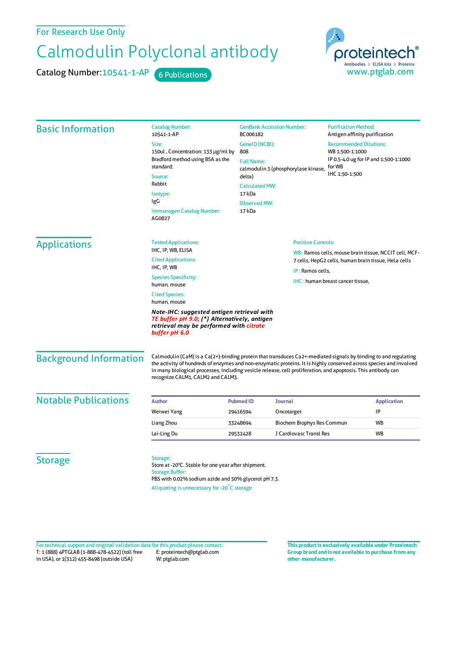## For Research Use Only

## Calmodulin Polyclonal antibody

Catalog Number: 10541-1-AP 6 Publications



| <b>Basic Information</b>      | <b>Catalog Number:</b><br>10541-1-AP                                                                                                                                                                                                                                                                                                                                                                                                                                 | <b>GenBank Accession Number:</b><br>BC006182                                                                                                                    |                                                                                                               | <b>Purification Method:</b><br>Antigen affinity purification                                                          |                    |
|-------------------------------|----------------------------------------------------------------------------------------------------------------------------------------------------------------------------------------------------------------------------------------------------------------------------------------------------------------------------------------------------------------------------------------------------------------------------------------------------------------------|-----------------------------------------------------------------------------------------------------------------------------------------------------------------|---------------------------------------------------------------------------------------------------------------|-----------------------------------------------------------------------------------------------------------------------|--------------------|
|                               | Size:<br>150ul, Concentration: 133 µg/ml by<br>Bradford method using BSA as the<br>standard;<br>Source:                                                                                                                                                                                                                                                                                                                                                              | GeneID (NCBI):<br>808<br><b>Full Name:</b><br>calmodulin 3 (phosphorylase kinase,<br>delta)<br><b>Calculated MW:</b><br>17 kDa<br><b>Observed MW:</b><br>17 kDa |                                                                                                               | <b>Recommended Dilutions:</b><br>WB 1:500-1:1000<br>IP 0.5-4.0 ug for IP and 1:500-1:1000<br>for WB<br>IHC 1:50-1:500 |                    |
|                               | Rabbit<br>Isotype:<br>IgG<br><b>Immunogen Catalog Number:</b><br>AG0827                                                                                                                                                                                                                                                                                                                                                                                              |                                                                                                                                                                 |                                                                                                               |                                                                                                                       |                    |
| <b>Applications</b>           | <b>Tested Applications:</b>                                                                                                                                                                                                                                                                                                                                                                                                                                          |                                                                                                                                                                 | <b>Positive Controls:</b>                                                                                     |                                                                                                                       |                    |
|                               | IHC, IP, WB, ELISA<br><b>Cited Applications:</b>                                                                                                                                                                                                                                                                                                                                                                                                                     |                                                                                                                                                                 | WB: Ramos cells, mouse brain tissue, NCCIT cell, MCF-<br>7 cells, HepG2 cells, human brain tissue, HeLa cells |                                                                                                                       |                    |
|                               | IHC, IP, WB<br><b>Species Specificity:</b>                                                                                                                                                                                                                                                                                                                                                                                                                           |                                                                                                                                                                 | IP: Ramos cells,                                                                                              | IHC: human breast cancer tissue,                                                                                      |                    |
|                               | human, mouse<br><b>Cited Species:</b><br>human, mouse<br>Note-IHC: suggested antigen retrieval with<br>TE buffer pH 9.0; (*) Alternatively, antigen                                                                                                                                                                                                                                                                                                                  |                                                                                                                                                                 |                                                                                                               |                                                                                                                       |                    |
| <b>Background Information</b> | retrieval may be performed with <mark>citrate</mark><br>buffer pH 6.0<br>Calmodulin (CaM) is a Ca(2+)-binding protein that transduces Ca2+-mediated signals by binding to and regulating<br>the activity of hundreds of enzymes and non-enzymatic proteins. It is highly conserved across species and involved<br>in many biological processes, including vesicle release, cell proliferation, and apoptosis. This antibody can<br>recognize CALM1, CALM2 and CALM3. |                                                                                                                                                                 |                                                                                                               |                                                                                                                       |                    |
|                               |                                                                                                                                                                                                                                                                                                                                                                                                                                                                      |                                                                                                                                                                 |                                                                                                               |                                                                                                                       |                    |
| <b>Notable Publications</b>   | Author                                                                                                                                                                                                                                                                                                                                                                                                                                                               | <b>Journal</b><br><b>Pubmed ID</b>                                                                                                                              |                                                                                                               |                                                                                                                       | <b>Application</b> |
|                               | Weiwei Yang                                                                                                                                                                                                                                                                                                                                                                                                                                                          | Oncotarget<br>29416594                                                                                                                                          |                                                                                                               |                                                                                                                       | IP                 |
|                               | Liang Zhou<br>Lai-Ling Du                                                                                                                                                                                                                                                                                                                                                                                                                                            | 33248694<br>29532428                                                                                                                                            | Biochem Biophys Res Commun<br>J Cardiovasc Transl Res                                                         |                                                                                                                       | <b>WB</b><br>WB    |
| <b>Storage</b>                | Storage:<br>Store at -20°C. Stable for one year after shipment.<br><b>Storage Buffer:</b><br>PBS with 0.02% sodium azide and 50% glycerol pH 7.3.                                                                                                                                                                                                                                                                                                                    |                                                                                                                                                                 |                                                                                                               |                                                                                                                       |                    |

Aliquoting is unnecessary for -20<sup>°</sup>C storage

T: 1 (888) 4PTGLAB (1-888-478-4522) (toll free in USA), or 1(312) 455-8498 (outside USA) E: proteintech@ptglab.com W: ptglab.com Fortechnical support and original validation data forthis product please contact: **This productis exclusively available under Proteintech**

**Group brand and is not available to purchase from any other manufacturer.**